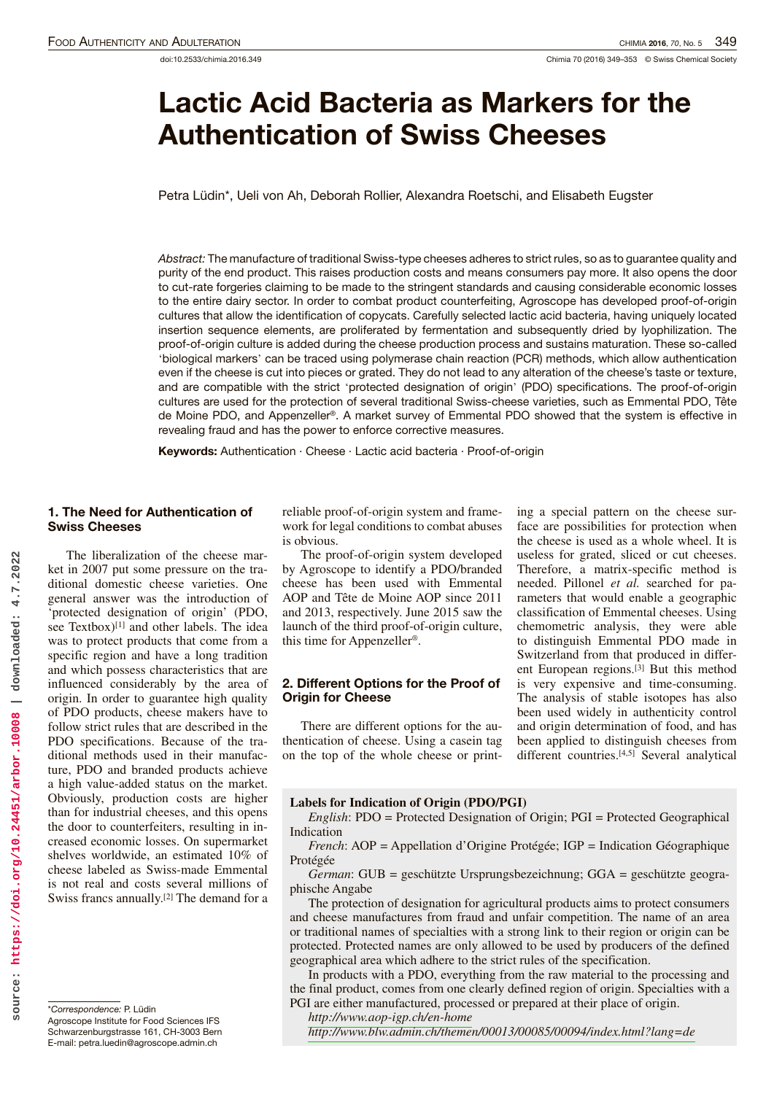# Lactic Acid Bacteria as Markers for the Authentication of Swiss Cheeses

Petra Lüdin\*, Ueli von Ah, Deborah Rollier, Alexandra Roetschi, and Elisabeth Eugster

Abstract: The manufacture of traditional Swiss-type cheeses adheres to strict rules, so as to guarantee quality and purity of the end product. This raises production costs and means consumers pay more. It also opens the door to cut-rate forgeries claiming to be made to the stringent standards and causing considerable economic losses to the entire dairy sector. In order to combat product counterfeiting, Agroscope has developed proof-of-origin cultures that allow the identification of copycats. Carefully selected lactic acid bacteria, having uniquely located insertion sequence elements, are proliferated by fermentation and subsequently dried by lyophilization. The proof-of-origin culture is added during the cheese production process and sustains maturation. These so-called 'biological markers' can be traced using polymerase chain reaction (PCR) methods, which allow authentication even if the cheese is cut into pieces or grated. They do not lead to any alteration of the cheese's taste or texture, and are compatible with the strict 'protected designation of origin' (PDO) specifications. The proof-of-origin cultures are used for the protection of several traditional Swiss-cheese varieties, such as Emmental PDO, Tête de Moine PDO, and Appenzeller®. A market survey of Emmental PDO showed that the system is effective in revealing fraud and has the power to enforce corrective measures.

Keywords: Authentication · Cheese · Lactic acid bacteria · Proof-of-origin

### 1. The Need for Authentication of Swiss Cheeses

The inveranzation of the cheese market in 2007 put some pressure on the traditional domestic cheese varieties. One general answer was the introduction of 'protected designation of origin' (PDO, protected designation of origin (PDO, see Textbox) $[1]$  and other labels. The idea was to protect products that come from a<br>specific region and have a long tradition and which possess characteristics that are influenced considerably by the area of origin. In order to guarantee high quality of PDO products, cheese makers have to follow strict rules that are described in the PDO specifications. Because of the traditional methods used in their manufacture, PDO and branded products achieve a high value-added status on the market. a high value-added status on the market. Obviously, production costs are higher than for industrial cheeses, and this opens<br>the door to counterfeiters, resulting in increased economic losses. On supermarket shelves worldwide, an estimated 10% of cheese labeled as Swiss-made Emmental is not real and costs several millions of is not real and costs several millions of Swiss francs annually. $[2]$  The demand for a

reliable proof-of-origin system and framework for legal conditions to combat abuses is obvious.<br>The proof-of-origin system developed

by Agroscope to identify a PDO/branded cheese has been used with Emmental AOP and Tête de Moine AOP since 2011 and 2013, respectively. June 2015 saw the and 2013, respectively. June 2015 saw the  $l_{\text{kin}}$  for  $\lambda_{\text{max}}$  and  $\mathbb{R}$ this time for Appenzeller® .

## 2. Different Options for the Proof of Origin for Cheese

There are different options for the authentication of cheese. Using a case in tag the<br>theory of the whole cheese or mint on the top of the whole cheese or printing a special pattern on the cheese surthe cheese is used as a whole wheel. It is useless for grated, sliced or cut cheeses. Therefore, a matrix-specific method is Therefore, a matrix-specific method is needed. Pillonel *et al.* searched for parameters that would enable a geographic<br>classification of Emmental cheeses. Using chemometric analysis, they were able to distinguish Emmental PDO made in Switzerland from that produced in differ- $S$ witzerland from that produced in different European regions.[3] But this method is very expensive and time-consuming.<br>The analysis of stable isotopes has also been used widely in authenticity control and origin determination of food, and has and origin determination of food, and has been applied to distinguish cheeses from different countries.<sup>[4,5]</sup> Several analytical

## **Labels for Indication of Origin (PDO/PGI)**

*English*: PDO <sup>=</sup> Protected Designation of Origin; PGI <sup>=</sup> Protected Geographical Indication

*French*: AOP <sup>=</sup> Appellation d'Origine Protégée; IGP <sup>=</sup> Indication Géographique Protégée

*German*: GUB <sup>=</sup> geschützte Ursprungsbezeichnung; GGA <sup>=</sup> geschützte geographische Angabe

The protection of designation for agricultural products aims to protect consumers and cheese manufactures from fraud and unfair competition. The name of an area or traditional names of specialties with a strong link to their region or origin can be or traditional names of specialties with a strong link to their region or origin can be protected. Protected names are only allowed to be used by producers of the defined geographical area which adhere to the strict rules of the specification.<br>In products with a PDO, everything from the raw material to the processing and

In products with a PDO, everything from the raw material to the processing and the final product, comes from one clearly defined region of origin. Specialties with a PGI are either manufactured, processed or prepared at their place of origin.

*<http://www.aop-igp.ch/en-home>*

*<http://www.blw.admin.ch/themen/00013/00085/00094/index.html?lang=de>*

<sup>\*</sup>Correspondence: P. Lüdin

Agroscope Institute for Food Sciences IFS Schwarzenburgstrasse 161, CH-3003 Bern E-mail: petra.luedin@agroscope.admin.ch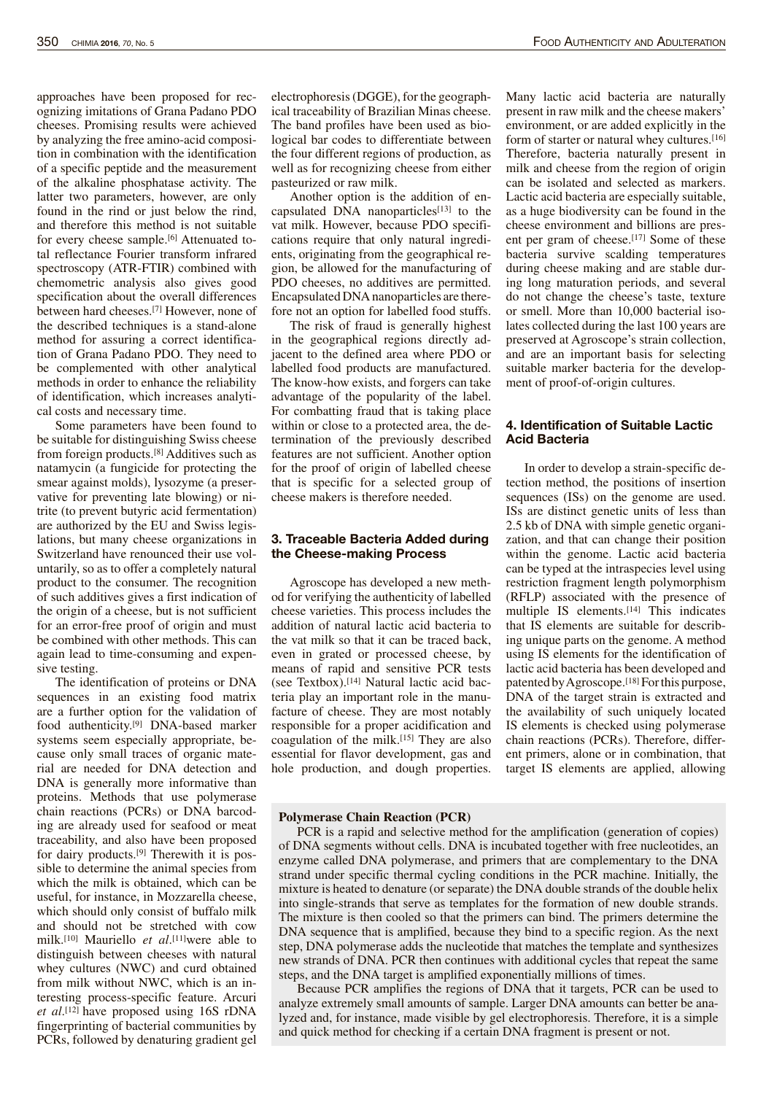approaches have been proposed for reccheeses. Promising results were achieved by analyzing the free amino-acid composition in combination with the identification of a specific peptide and the measurement of the alkaline phosphatase activity. The of the alkaline phosphatase activity. The ratter two parameters, however, are only found in the rind or just below the rind, and therefore this method is not suitable and therefore this include is not suitable for every cheese sample.<sup>[6]</sup> Attenuated to-<br>tel. reflectence Fourier trensform infrered tal reflectance Fourier transform infrared<br>spectroscopy (ATR-FTIR) combined with chemometric analysis also gives good specification about the overall differences between hard cheeses.<sup>[7]</sup> However, none of the described techniques is a stand-alone method for assuring a correct identification of Grana Padano PDO. They need to be complemented with other analytical methods in order to enhance the reliability of identification, which increases analytical costs and necessary time.

Some parameters have been found to be suitable for distinguishing Swiss cheese be suitable for distinguishing Swiss cheese from foreign products.<sup>[8]</sup> Additives such as natamycin (a fungicide for protecting the smear against molds), lysozyme (a preser-<br>untius for proventing lote blowing) or ni vative for preventing late blowing) or nitrite (to prevent butyric acid fermentation) trite (to prevent butyric acid fermentation) are authorized by the EU and Swiss legislations, but many cheese organizations in Switzerland have renounced their use voluntarily, so as to offer a completely natural product to the consumer. The recognition<br>of such additives gives a first indication of of such additives gives a first indication of the origin of a cheese, but is not sufficient for an error-free proof of origin and must<br>be combined with other methods. This can be combined with other methods. This can again lead to time-consuming and expensive testing.

The identification of proteins or DNA sequences in an existing food matrix are a further option for the validation of food authenticity. [9] DNA-based marker systems seem especially appropriate, be-<br>cause only small traces of organic matecause only small traces of organic material are needed for DNA detection and<br>DNA is separally many information than DNA is generally more informative than<br>proteins. Methods that use polymerase chain reactions (PCRs) or DNA barcoding are already used for seafood or meat traceability, and also have been proposed traceability, and also have been proposed for dairy products.[9] Therewith it is possible to determine the animal species from<br>which the milk is obtained, which can be which the milk is obtained, which can be useful, for instance, in Mozzarella cheese, which should only consist of buffalo milk<br>and should not be stretched with cow and should not be stretched with cow milk.[10] Mauriello *et al*. [11]were able to distinguish between cheeses with natural<br>whey cultures (NWC) and curd obtained from milk without NWC, which is an infrom milk without NWC, which is an interesting process-specific feature. Arcuri *et al*. [12] have proposed using 16S rDNA fingerprinting of bacterial communities by PCRs, followed by denaturing gradient gel

electrophoresis (DGGE), for the geographical traceability of Brazilian Minas cheese. The band profiles have been used as biological bar codes to differentiate between the four different regions of production, as the four different regions of production, as well as for recognizing cheese from either

pasteurized or raw milk. Another option is the addition of encapsulated DNA nanoparticles<sup>[13]</sup> to the vat milk. However, because PDO specifications require that only natural ingredients, originating from the geographical region, be allowed for the manufacturing of PDO cheeses, no additives are permitted. Encapsulated DNA nanoparticles are therefore not an option for labelled food stuffs.

The risk of fraud is generally highest in the geographical regions directly adjacent to the defined area where PDO or labelled food products are manufactured. The know-how exists, and forgers can take advantage of the popularity of the label. For combatting fraud that is taking place. within or close to a protected area, the determination of the previously described features are not sufficient. Another option for the proof of origin of labelled cheese for the proof of origin of labelled cheese that is specific for a selected group of cheese makers is therefore needed.

#### 3. Traceable Bacteria Added during the Cheese-making Process

Agroscope has developed a new meth-<br>od for verifying the authenticity of labelled od for verifying the authenticity of labelled cheese varieties. This process includes the addition of natural lactic acid bacteria to<br>the vat milk so that it can be traced back, the vat milk so that it can be traced back, even in grated or processed cheese, by means of rapid and sensitive PCR tests (see Textbox).<sup>[14]</sup> Natural lactic acid bac-<br>tanix also an integrated as in the many teria play an important role in the manufacture of cheese. They are most notably responsible for a proper acidification and coagulation of the milk.<sup>[15]</sup> They are also<br>essential for flavor development, gas and essential for flavor development, gas and hole production, and dough properties.

Many lactic acid bacteria are naturally present in raw milk and the cheese makers' environment, or are added explicitly in the environment, or are added explicitly in the form of starter or natural whey cultures.<sup>[16]</sup><br>Therefore bectaria naturally present in Therefore, bacteria naturally present in can be isolated and selected as markers. can be isolated and selected as markers. Lactic acid bacteria are especially suitable, as a huge biodiversity can be found in the cheese environment and billions are prescheese environment and billions are present per gram of cheese.<sup>[17]</sup> Some of these<br>bectorial survive seedding temperatures bacteria survive scalding temperatures<br>during cheese making and are stable during long maturation periods, and several do not change the cheese's taste, texture or smell. More than 10,000 bacterial isolates collected during the last 100 years are preserved at Agroscope's strain collection, and are an important basis for selecting suitable marker bacteria for the developsuitable marker bacteria for the develop-<br>mant of nearly of origin outliness. ment of proof-of-origin cultures.

### 4. Identification of Suitable Lactic Acid Bacteria

In order to develop a strain-specific detection method, the positions of insertion sequences (ISS) on the genome are used. ISs are distinct genetic units of less than 2.5 kb of DNA with simple genetic organization, and that can change their position within the genome. Lactic acid bacteria can be typed at the intraspecies level using restriction fragment length polymorphism<br>(RFLP) associated with the presence of (KFLF) associated with the presence of multiple IS elements.<sup>[14]</sup> I his indicates that IS elements are suitable for describ-<br> $\frac{1}{2}$ ing unique parts on the genome. A method using IS elements for the identification of lactic acid bacteria has been developed and lactic acid bacteria has been developed and patented by Agroscope.<sup>[18]</sup> For this purpose, DNA of the target strain is extracted and the availability of such uniquely located IS elements is checked using polymerase chain reactions (PCRs). Therefore, different primers, alone or in combination, that ent primers, alone or in combination, that target is elements are applied, allowing

#### **Polymerase Chain Reaction (PCR)**

PCR is a rapid and selective method for the amplification (generation of copies) of DNA segments without cells. DNA is incubated together with free nucleotides, an enzyme called DNA polymerase, and primers that are complementary to the DNA strand under specific thermal cycling conditions in the PCR machine. Initially, the mixture is heated to denature (or separate) the DNA double strands of the double helix into single-strands that serve as templates for the formation of new double strands. into single-strands that serve as templates for the formation of new double strands. The mixture is then cooled so that the primers can bind. The primers determine the DNA sequence that is amplified, because they bind to a specific region. As the next<br>etern DNA nature was a dia the number ide that matches the terminate and sunthasized step, DNA polymerase adds the nucleotide that matches the template and synthesizes new strands of DNA. PCR then continues with additional cycles that repeat the same steps, and the DNA target is amplified exponentially millions of times. steps, and the DNA target is amplified exponentially millions of thirds.

Because PCR amplifies the regions of DNA that it targets, PCR can be used to analyze extremely small amounts of sample. Larger DNA amounts can better be analyzed and, for instance, made visible by gel electrophoresis. Therefore, it is a simple and quick method for checking if a certain DNA fragment is present or not.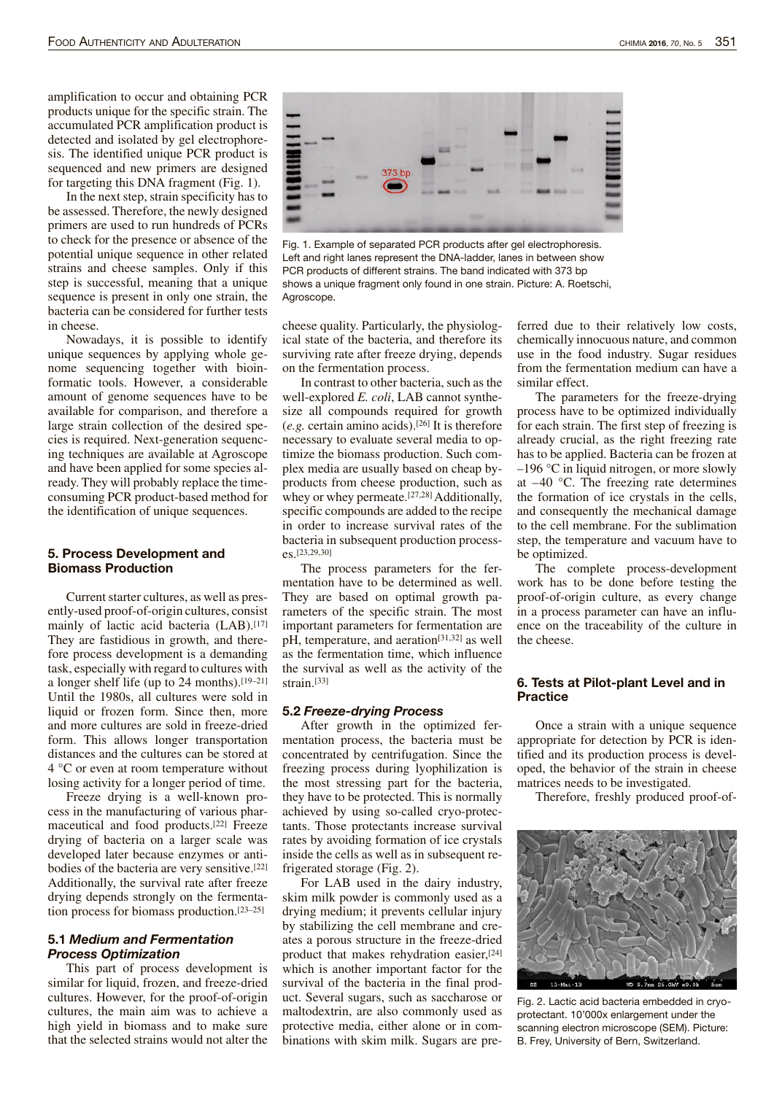for targeting this DNA fragment (Fig. 1). In the next step, strain specificity has to be assessed. Therefore, the newly designed<br>primers are used to run hundreds of PCRs to check for the presence or absence of the potential unique sequence in other related strains and cheese samples. Only if this step is successful, meaning that a unique sequence is present in only one strain, the sequence is present in only one strain, the bacteria can be considered for further tests

in cheese.<br>Nowadays, it is possible to identify unique sequences by applying whole genome sequencing together with bioinformatic tools. However, a considerable amount of genome sequences have to be. available for comparison, and therefore a large strain collection of the desired species is required. Next-generation sequencing techniques are available at Agroscope and have been applied for some species aland have been applied for some species already. They will probably replace the timeconsuming PCR product-based method for the identification of unique sequences.

#### 5. Process Development and Biomass Production

Current starter cultures, as well as presently-used proof-of-origin cultures, consist mainly of lactic acid bacteria (LAB).<sup>[17]</sup> They are fastidious in growth, and there-<br>fore process development is a demanding task, especially with regard to cultures with task, especially with regard to cultures with a longer shelf life (up to 24 months).<sup>[19–21]</sup> Until the 1980s, all cultures were sold in liquid or frozen form. Since then, more liquid or frozen form. Since then, more and more cultures are sold in freeze-dried form. This allows longer transportation<br>distances and the cultures can be stored at distances and the cultures can be stored at  $4.8\text{C}$  and store at manner properties with sub-4 °C or even at room temperature without losing activity for a longer period of time.<br>Freeze drying is a well-known pro-

cess in the manufacturing of various pharcess in the manufacturing of various pharmaceutical and food products.<sup>[22]</sup> Freeze drying of bacteria on a larger scale was<br>developed later because enzymes or antideveloped later because enzymes or anti-<br>bodies of the bacteria are very sensitive.<sup>[22]</sup> Additionally, the survival rate after freeze Additionally, the survival rate after freeze drying depends strongly on the fermentation process for biomass production.[23–25]

#### 5.1 Medium and Fermentation Process Optimization

This part of process development is similar for liquid, frozen, and freeze-dried cultures. However, for the proof-of-origin cultures, the main aim was to achieve a high yield in biomass and to make sure that the selected strains would not alter the



Fig. 1. Example of separated PCR products after gel electrophoresis. Left and right lanes represent the DNA-ladder, lanes in between show PCR products of different strains. The band indicated with 373 bp shows a unique fragment only found in one strain. Picture: A. Roetschi, Agroscope.

cheese quality. Particularly, the physiological state of the bacteria, and therefore its ical state of the bacteria, and therefore its surviving rate after freeze drying, depends on the fermentation process.<br>In contrast to other bacteria, such as the

In contrast to other bacteria, such as the<br>well-explored *E. coli*, LAB cannot synthesize all compounds required for growth (*e.g.* certain amino acids).[26] It is therefore necessary to evaluate several media to optimize the biomass production. Such complex media are usually based on cheap byproducts from cheese production, such as products from cheese production, such as whey or whey permeate.<sup>[27,26]</sup> Additionally, specific compounds are added to the recipe<br>in order to increase survival rates of the in order to increase survival rates of the bacteria in subsequent production processes.<sup>[23,29,30]</sup><br>The process parameters for the fer-

The process parameters for the fermentation have to be determined as well. They are based on optimal growth parameters of the specific strain. The most important parameters for fermentation are important parameters for fermentation are pH, temperature, and aeration<sup>[31,32]</sup> as well as the fermentation time, which influence the survival as well as the activity of the  $\frac{133}{2}$ strain.[33]

#### 5.2 Freeze-drying Process

After growth in the optimized fermentation process, the bacteria must be concentrated by centrifugation. Since the the most stressing part for the bacteria, they have to be protected. This is normally achieved by using so-called cryo-protectants. Those protectants increase survival rates by avoiding formation of ice crystals. rates by avoiding formation of ice crystals inside the cells as well as in subsequent refrigerated storage (Fig. 2).<br>For LAB used in the dairy industry,

For LAB used in the dairy industry, skim milk powder is commonly used as a drying medium; it prevents cellular injury<br>by stabilizing the cell membrane and creby stabilizing the cell membrane and creates a porous structure in the freeze-dried product that makes rehydration easier, product that makes rehydration easier.<sup>[24]</sup> which is another important factor for the survival of the bacteria in the final product. Several sugars, such as saccharose or maltodextrin, are also commonly used as protective media, either alone or in combinations with skim milk. Sugars are preferred due to their relatively low costs, chemically innocuous nature, and common use in the food industry. Sugar residues use in the food industry. Sugar residues from the fermentation medium can have a similar effect.<br>The parameters for the freeze-drying

process have to be optimized individually for each strain. The first step of freezing is already crucial, as the right freezing rate has to be applied. Bacteria can be frozen at  $-196$  °C in liquid nitrogen, or more slowly at  $-40$  °C. The freezing rate determines the formation of ice crystals in the cells, and consequently the mechanical damage to the cell membrane. For the sublimation to the cell membrane. For the submittation step, the temperature and vacuum have to

be optimized.<br>The complete process-development work has to be done before testing the proof-of-origin culture, as every change proof-of-origin culture, as every change in a process parameter can have an influence on the traceability of the culture in the cheese.

#### 6. Tests at Pilot-plant Level and in Practice

Once a strain with a unique sequence appropriate for detection by PCR is identified and its production process is devel-<br>and the heberian of the strain in above oped, the behavior of the strain in cheese matrices needs to be investigated.

Therefore, freshly produced proof-of-



Fig. 2. Lactic acid bacteria embedded in cryoprotectant. 10'000x enlargement under the scanning electron microscope (SEM). Picture: B. Frey, University of Bern, Switzerland.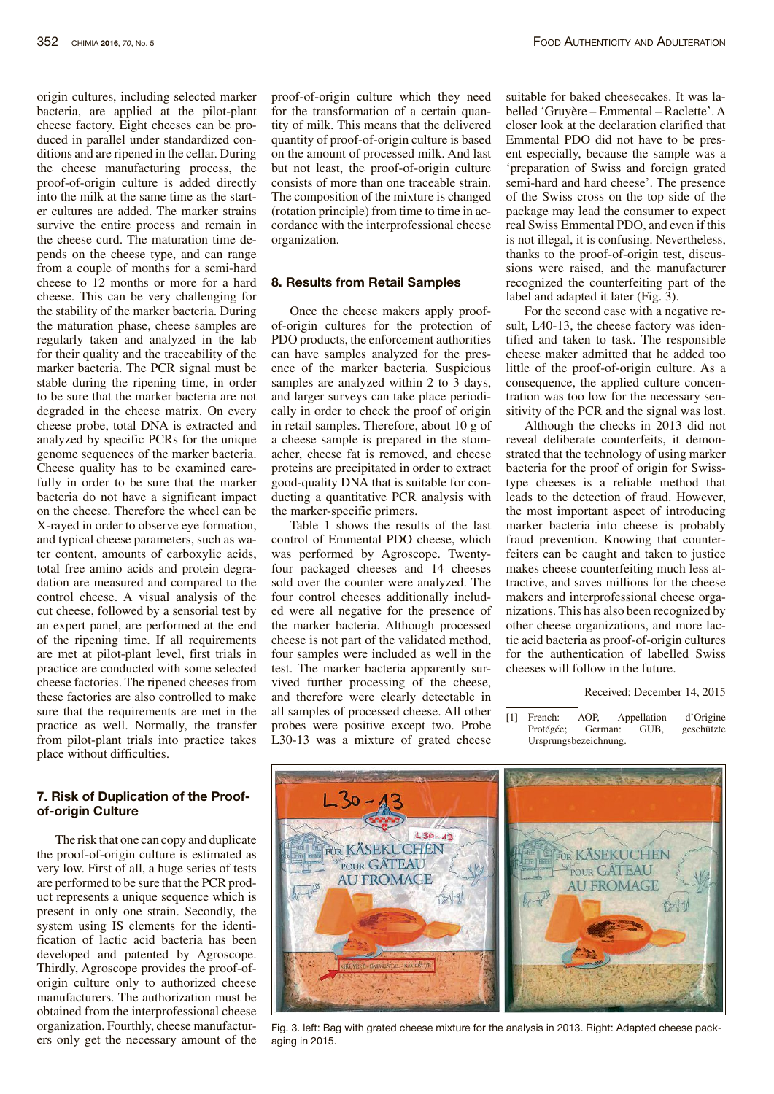352 CHIMIA 2016, 70, No. 5 Food Authenticity And AdulterAtion AdulterAtion AdulterAtion

origin cultures, including selected marker cheese factory. Eight cheeses can be produced in parallel under standardized conditions and are ripened in the cellar. During the cheese manufacturing process, the proof-of-origin culture is added directly into the milk at the same time as the starter cultures are added. The marker strains survive the entire process and remain in the cheese curd. The maturation time depends on the cheese type, and can range from a couple of months for a semi-hard cheese to 12 months or more for a hard cheese. This can be very challenging for the stability of the marker bacteria. During the maturation phase, cheese samples are regularly taken and analyzed in the lab for their quality and the traceability of the marker bacteria. The PCR signal must be stable during the ripening time, in order to be sure that the marker bacteria are not degraded in the cheese matrix. On every cheese probe, total DNA is extracted and analyzed by specific PCRs for the unique genome sequences of the marker bacteria. Cheese quality has to be examined carefully in order to be sure that the marker bacteria do not have a significant impact on the cheese. Therefore the wheel can be X-rayed in order to observe eye formation, X-rayed in order to observe eye formation, and typical cheese parameters, such as water content, amounts of carboxylic acids, total free amino acids and protein degradation are measured and compared to the control cheese. A visual analysis of the cut cheese, followed by a sensorial test by an expert panel, are performed at the end of the ripening time. If all requirements are met at pilot-plant level, first trials in practice are conducted with some selected<br>cheese factories. The ripened cheeses from these factories are also controlled to make sure that the requirements are met in the sure that the requirements are met in the practice as well. Normally, the transfer from pilot-plant trials into practice takes place without difficulties.

#### 7. Risk of Duplication of the Proofof-origin Culture

The risk that one can copy and duplicate<br>the proof-of-origin culture is estimated as the proof-of-origin culture is estimated as very low. First of all, a huge series of tests are performed to be sure that the PCK prod-<br> $\frac{1}{2}$ uct represents a unique sequence which is present in only one strain. Secondly, the system using IS elements for the identification of lactic acid bacteria has been fication of lactic acid bacteria has been developed and patented by Agroscope. Thirdly, Agroscope provides the proof-ofmanufacturers. The authorization must be manufacturers. The authorization must be obtained from the interprofessional cheese organization.Fourthly, cheese manufacturers only get the necessary amount of the

proof-of-origin culture which they need tity of milk. This means that the delivered quantity of proof-of-origin culture is based on the amount of processed milk. And last but not least, the proof-of-origin culture consists of more than one traceable strain. The composition of the mixture is changed. (rotation principle) from time to time in ac-(rotation principle) from time to time in accordance with the interprofessional cheese organization.

#### 8. Results from Retail Samples

Once the cheese makers apply proof-<br>of-origin cultures for the protection of PDO products, the enforcement authorities can have samples analyzed for the presence of the marker bacteria. Suspicious samples are analyzed within 2 to 3 days, and larger surveys can take place periodically in order to check the proof of origin in retail samples. Therefore, about 10 g of a cheese sample is prepared in the stomacher, cheese fat is removed, and cheese proteins are precipitated in order to extract good-quality DNA that is suitable for congood-quality DNA that is suitable for conducting a quantitative PCR analysis with the marker-specific primers.<br>Table 1 shows the results of the last

control of Emmental PDO cheese, which was performed by Agroscope. Twentyfour packaged cheeses and 14 cheeses sold over the counter were analyzed. The four control cheeses additionally includfour control cheeses additionally included were all negative for the presence of the marker bacteria. Although processed<br>cheese is not part of the validated method, cheese is not part of the validated method, four samples were included as well in the test. The marker bacteria apparently survived further processing of the cheese, and therefore were clearly detectable in and therefore were clearly detectable in all samples of processed cheese. All other probes were positive except two. Probe L30-13 was a mixture of grated cheese suitable for baked cheesecakes. It was labelled 'Gruyère - Emmental - Raclette'. A closer look at the declaration clarified that Emmental PDO did not have to be present especially, because the sample was a 'preparation of Swiss and foreign grated semi-hard and hard cheese'. The presence of the Swiss cross on the top side of the package may lead the consumer to expect package may lead the consumer to expect real Swiss Emmental PDO, and even if this is not illegal, it is confusing. Nevertheless, thanks to the proof-of-origin test, discussions were raised, and the manufacturer recognized the counterfeiting part of the label and adapted it later (Fig. 3).

For the second case with a negative result, L40-13, the cheese factory was identified and taken to task. The responsible cheese maker admitted that he added too little of the proof-of-origin culture. As a consequence, the applied culture concentration was too low for the necessary sensitivity of the PCR and the signal was lost.

Although the checks in 2013 did not reveal deliberate counterfeits, it demonstrated that the technology of using marker bacteria for the proof of origin for Swisstype cheeses is a reliable method that leads to the detection of fraud. However, the most important aspect of introducing marker bacteria into cheese is probably fraud prevention. Knowing that counterfraud prevention. Knowing that counterfeiters can be caught and taken to justice makes cheese counterfeiting much less at-<br>tractive, and saves millions for the cheese makers and interprofessional cheese organizations. This has also been recognized by other cheese organizations, and more lactic acid bacteria as proof-of-origin cultures tic acid bacteria as proof-of-origin cultures for the authentication of labelled Swiss cheeses will follow in the future.

#### Received: December 14, 2015

[1] French: AOP, Appellation d'Origine Protégée; German: GUB, geschützte Ursprungsbezeichnung.



Fig. 3. left: Bag with grated cheese mixture for the analysis in 2013. Right: Adapted cheese packaging in 2015.